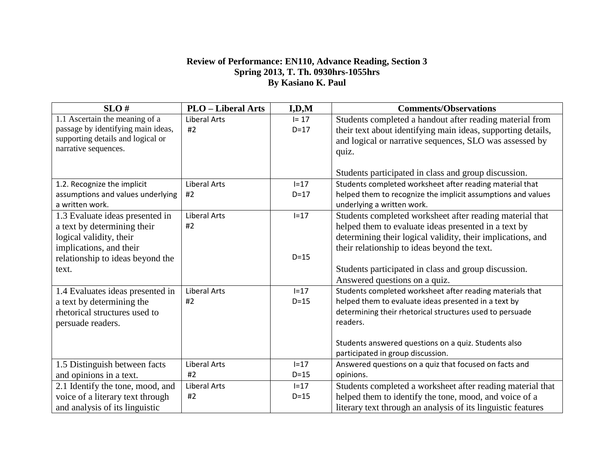## **Review of Performance: EN110, Advance Reading, Section 3 Spring 2013, T. Th. 0930hrs-1055hrs By Kasiano K. Paul**

| SLO#                               | <b>PLO</b> - Liberal Arts | I, D, M  | <b>Comments/Observations</b>                                 |  |  |
|------------------------------------|---------------------------|----------|--------------------------------------------------------------|--|--|
| 1.1 Ascertain the meaning of a     | <b>Liberal Arts</b>       | $I = 17$ | Students completed a handout after reading material from     |  |  |
| passage by identifying main ideas, | #2                        | $D=17$   | their text about identifying main ideas, supporting details, |  |  |
| supporting details and logical or  |                           |          | and logical or narrative sequences, SLO was assessed by      |  |  |
| narrative sequences.               |                           |          | quiz.                                                        |  |  |
|                                    |                           |          |                                                              |  |  |
|                                    |                           |          | Students participated in class and group discussion.         |  |  |
| 1.2. Recognize the implicit        | <b>Liberal Arts</b>       | $I=17$   | Students completed worksheet after reading material that     |  |  |
| assumptions and values underlying  | #2                        | $D = 17$ | helped them to recognize the implicit assumptions and values |  |  |
| a written work.                    |                           |          | underlying a written work.                                   |  |  |
| 1.3 Evaluate ideas presented in    | <b>Liberal Arts</b>       | $I=17$   | Students completed worksheet after reading material that     |  |  |
| a text by determining their        | #2                        |          | helped them to evaluate ideas presented in a text by         |  |  |
| logical validity, their            |                           |          | determining their logical validity, their implications, and  |  |  |
| implications, and their            |                           |          | their relationship to ideas beyond the text.                 |  |  |
| relationship to ideas beyond the   |                           | $D=15$   |                                                              |  |  |
| text.                              |                           |          | Students participated in class and group discussion.         |  |  |
|                                    |                           |          | Answered questions on a quiz.                                |  |  |
| 1.4 Evaluates ideas presented in   | <b>Liberal Arts</b>       | $I=17$   | Students completed worksheet after reading materials that    |  |  |
| a text by determining the          | #2                        | $D=15$   | helped them to evaluate ideas presented in a text by         |  |  |
| rhetorical structures used to      |                           |          | determining their rhetorical structures used to persuade     |  |  |
| persuade readers.                  |                           |          | readers.                                                     |  |  |
|                                    |                           |          |                                                              |  |  |
|                                    |                           |          | Students answered questions on a quiz. Students also         |  |  |
|                                    |                           |          | participated in group discussion.                            |  |  |
| 1.5 Distinguish between facts      | Liberal Arts              | $I=17$   | Answered questions on a quiz that focused on facts and       |  |  |
| and opinions in a text.            | #2                        | $D=15$   | opinions.                                                    |  |  |
| 2.1 Identify the tone, mood, and   | <b>Liberal Arts</b>       | $I=17$   | Students completed a worksheet after reading material that   |  |  |
| voice of a literary text through   | #2                        | $D=15$   | helped them to identify the tone, mood, and voice of a       |  |  |
| and analysis of its linguistic     |                           |          | literary text through an analysis of its linguistic features |  |  |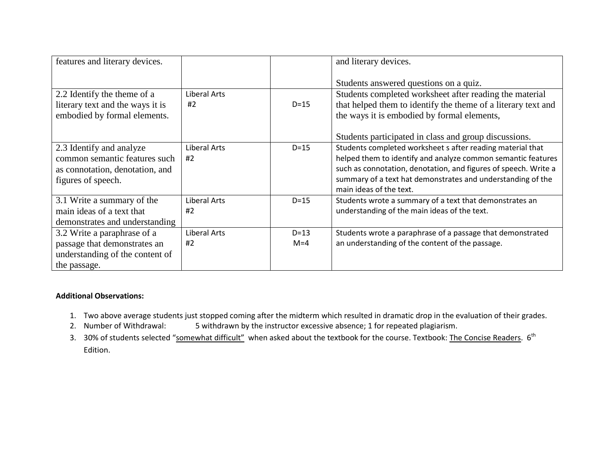| features and literary devices.   |              |        | and literary devices.                                           |
|----------------------------------|--------------|--------|-----------------------------------------------------------------|
|                                  |              |        | Students answered questions on a quiz.                          |
| 2.2 Identify the theme of a      | Liberal Arts |        | Students completed worksheet after reading the material         |
| literary text and the ways it is | #2           | $D=15$ | that helped them to identify the theme of a literary text and   |
| embodied by formal elements.     |              |        | the ways it is embodied by formal elements,                     |
|                                  |              |        |                                                                 |
|                                  |              |        | Students participated in class and group discussions.           |
| 2.3 Identify and analyze         | Liberal Arts | $D=15$ | Students completed worksheet s after reading material that      |
| common semantic features such    | #2           |        | helped them to identify and analyze common semantic features    |
| as connotation, denotation, and  |              |        | such as connotation, denotation, and figures of speech. Write a |
| figures of speech.               |              |        | summary of a text hat demonstrates and understanding of the     |
|                                  |              |        | main ideas of the text.                                         |
| 3.1 Write a summary of the       | Liberal Arts | $D=15$ | Students wrote a summary of a text that demonstrates an         |
| main ideas of a text that        | #2           |        | understanding of the main ideas of the text.                    |
| demonstrates and understanding   |              |        |                                                                 |
| 3.2 Write a paraphrase of a      | Liberal Arts | $D=13$ | Students wrote a paraphrase of a passage that demonstrated      |
| passage that demonstrates an     | #2           | $M=4$  | an understanding of the content of the passage.                 |
| understanding of the content of  |              |        |                                                                 |
| the passage.                     |              |        |                                                                 |

## **Additional Observations:**

- 1. Two above average students just stopped coming after the midterm which resulted in dramatic drop in the evaluation of their grades.
- 2. Number of Withdrawal: 5 withdrawn by the instructor excessive absence; 1 for repeated plagiarism.
- 3. 30% of students selected "somewhat difficult" when asked about the textbook for the course. Textbook: The Concise Readers. 6<sup>th</sup> Edition.